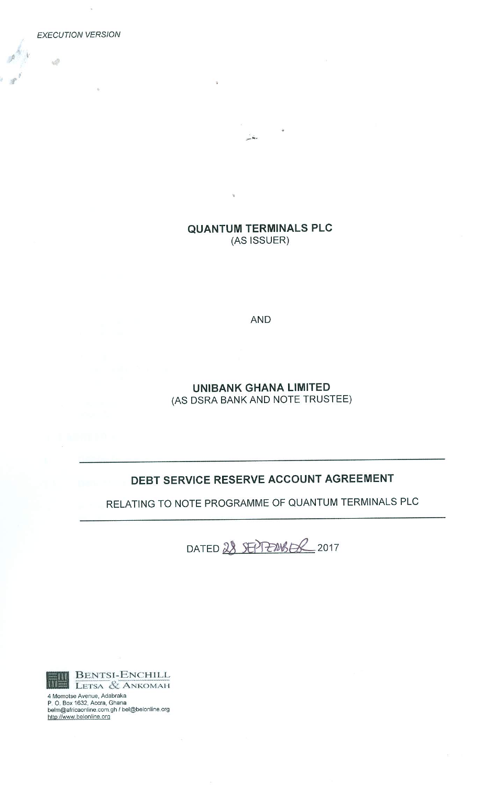**EXECUTION VERSION** 

Ŵ

**QUANTUM TERMINALS PLC** (AS ISSUER)

 $\frac{1}{2}$ 

**AND** 

**UNIBANK GHANA LIMITED** (AS DSRA BANK AND NOTE TRUSTEE)

# DEBT SERVICE RESERVE ACCOUNT AGREEMENT

RELATING TO NOTE PROGRAMME OF QUANTUM TERMINALS PLC

DATED 28 SEPTERWSER 2017



4 Momotse Avenue, Adabraka<br>P. O. Box 1632, Accra, Ghana<br>belm@africaonline.com.gh / bel@belonline.org http://www.belonline.org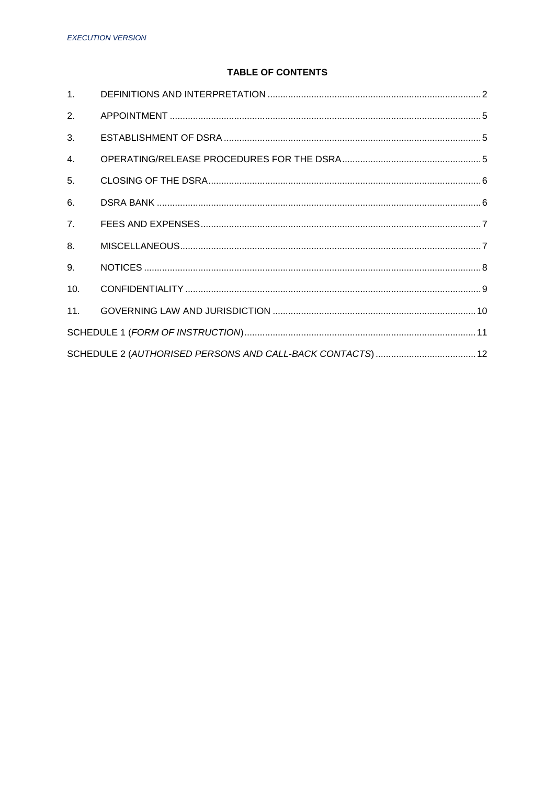# **TABLE OF CONTENTS**

| 1 <sub>1</sub>   |  |  |  |  |
|------------------|--|--|--|--|
| 2.               |  |  |  |  |
| 3.               |  |  |  |  |
| $\overline{4}$ . |  |  |  |  |
| 5.               |  |  |  |  |
| 6.               |  |  |  |  |
| 7 <sub>1</sub>   |  |  |  |  |
| 8.               |  |  |  |  |
| 9.               |  |  |  |  |
| 10.              |  |  |  |  |
| 11.              |  |  |  |  |
|                  |  |  |  |  |
|                  |  |  |  |  |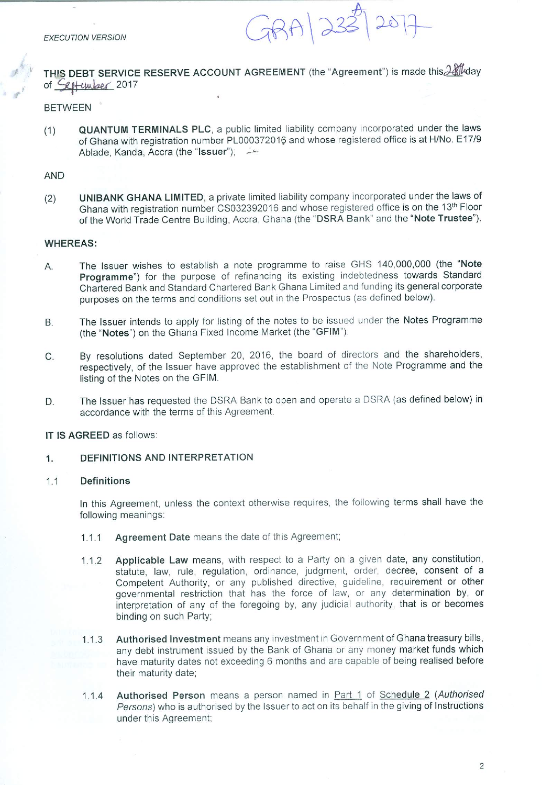$78A1233$ 25

THIS DEBT SERVICE RESERVE ACCOUNT AGREEMENT (the "Agreement") is made this 28 May of *<u>Lotember</u>* 2017

### **BETWEEN**

**QUANTUM TERMINALS PLC**, a public limited liability company incorporated under the laws  $(1)$ of Ghana with registration number PL000372016 and whose registered office is at H/No. E17/9 Ablade, Kanda, Accra (the "Issuer"); \_\_\_\_\_\_\_

#### **AND**

UNIBANK GHANA LIMITED, a private limited liability company incorporated under the laws of  $(2)$ Ghana with registration number CS032392016 and whose registered office is on the 13th Floor of the World Trade Centre Building, Accra, Ghana (the "DSRA Bank" and the "Note Trustee").

#### **WHEREAS:**

- The Issuer wishes to establish a note programme to raise GHS 140,000,000 (the "Note Α. Programme") for the purpose of refinancing its existing indebtedness towards Standard Chartered Bank and Standard Chartered Bank Ghana Limited and funding its general corporate purposes on the terms and conditions set out in the Prospectus (as defined below).
- The Issuer intends to apply for listing of the notes to be issued under the Notes Programme **B.** (the "Notes") on the Ghana Fixed Income Market (the "GFIM").
- By resolutions dated September 20, 2016, the board of directors and the shareholders, C. respectively, of the Issuer have approved the establishment of the Note Programme and the listing of the Notes on the GFIM.
- The Issuer has requested the DSRA Bank to open and operate a DSRA (as defined below) in D. accordance with the terms of this Agreement.

#### IT IS AGREED as follows:

#### DEFINITIONS AND INTERPRETATION  $1.$

#### $1.1$ **Definitions**

In this Agreement, unless the context otherwise requires, the following terms shall have the following meanings:

- Agreement Date means the date of this Agreement;  $1.1.1$
- Applicable Law means, with respect to a Party on a given date, any constitution,  $1.1.2$ statute, law, rule, regulation, ordinance, judgment, order, decree, consent of a Competent Authority, or any published directive, guideline, requirement or other governmental restriction that has the force of law, or any determination by, or interpretation of any of the foregoing by, any judicial authority, that is or becomes binding on such Party;
- Authorised Investment means any investment in Government of Ghana treasury bills,  $1.1.3$ any debt instrument issued by the Bank of Ghana or any money market funds which have maturity dates not exceeding 6 months and are capable of being realised before their maturity date;
- Authorised Person means a person named in Part 1 of Schedule 2 (Authorised  $1.1.4$ Persons) who is authorised by the Issuer to act on its behalf in the giving of Instructions under this Agreement;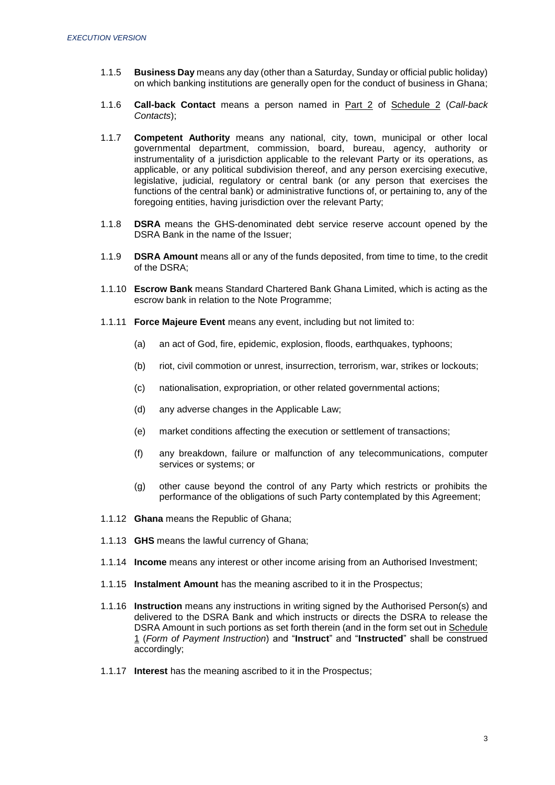- 1.1.5 **Business Day** means any day (other than a Saturday, Sunday or official public holiday) on which banking institutions are generally open for the conduct of business in Ghana;
- 1.1.6 **Call-back Contact** means a person named in Part 2 of Schedule 2 (*Call-back Contacts*);
- 1.1.7 **Competent Authority** means any national, city, town, municipal or other local governmental department, commission, board, bureau, agency, authority or instrumentality of a jurisdiction applicable to the relevant Party or its operations, as applicable, or any political subdivision thereof, and any person exercising executive, legislative, judicial, regulatory or central bank (or any person that exercises the functions of the central bank) or administrative functions of, or pertaining to, any of the foregoing entities, having jurisdiction over the relevant Party;
- 1.1.8 **DSRA** means the GHS-denominated debt service reserve account opened by the DSRA Bank in the name of the Issuer;
- 1.1.9 **DSRA Amount** means all or any of the funds deposited, from time to time, to the credit of the DSRA;
- 1.1.10 **Escrow Bank** means Standard Chartered Bank Ghana Limited, which is acting as the escrow bank in relation to the Note Programme;
- 1.1.11 **Force Majeure Event** means any event, including but not limited to:
	- (a) an act of God, fire, epidemic, explosion, floods, earthquakes, typhoons;
	- (b) riot, civil commotion or unrest, insurrection, terrorism, war, strikes or lockouts;
	- (c) nationalisation, expropriation, or other related governmental actions;
	- (d) any adverse changes in the Applicable Law;
	- (e) market conditions affecting the execution or settlement of transactions;
	- (f) any breakdown, failure or malfunction of any telecommunications, computer services or systems; or
	- (g) other cause beyond the control of any Party which restricts or prohibits the performance of the obligations of such Party contemplated by this Agreement;
- 1.1.12 **Ghana** means the Republic of Ghana;
- 1.1.13 **GHS** means the lawful currency of Ghana;
- 1.1.14 **Income** means any interest or other income arising from an Authorised Investment;
- 1.1.15 **Instalment Amount** has the meaning ascribed to it in the Prospectus;
- 1.1.16 **Instruction** means any instructions in writing signed by the Authorised Person(s) and delivered to the DSRA Bank and which instructs or directs the DSRA to release the DSRA Amount in such portions as set forth therein (and in the form set out in Schedule 1 (*Form of Payment Instruction*) and "**Instruct**" and "**Instructed**" shall be construed accordingly;
- 1.1.17 **Interest** has the meaning ascribed to it in the Prospectus;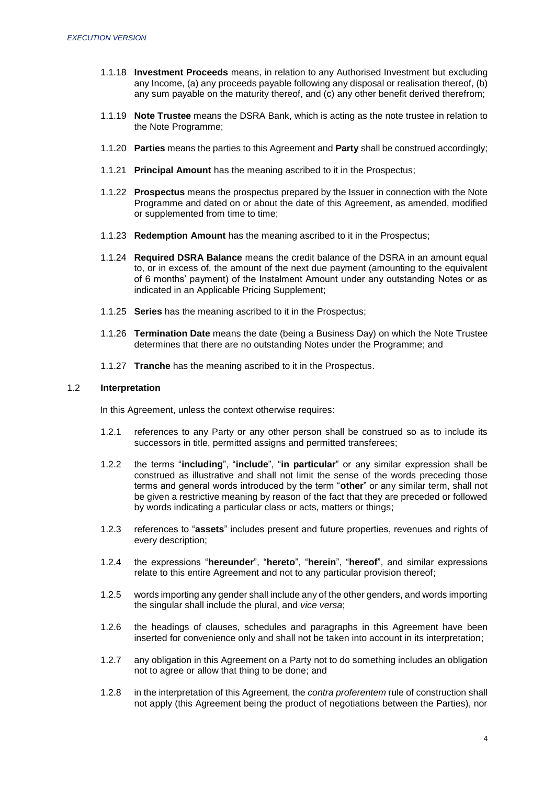- 1.1.18 **Investment Proceeds** means, in relation to any Authorised Investment but excluding any Income, (a) any proceeds payable following any disposal or realisation thereof, (b) any sum payable on the maturity thereof, and (c) any other benefit derived therefrom;
- 1.1.19 **Note Trustee** means the DSRA Bank, which is acting as the note trustee in relation to the Note Programme;
- 1.1.20 **Parties** means the parties to this Agreement and **Party** shall be construed accordingly;
- 1.1.21 **Principal Amount** has the meaning ascribed to it in the Prospectus;
- 1.1.22 **Prospectus** means the prospectus prepared by the Issuer in connection with the Note Programme and dated on or about the date of this Agreement, as amended, modified or supplemented from time to time;
- 1.1.23 **Redemption Amount** has the meaning ascribed to it in the Prospectus;
- 1.1.24 **Required DSRA Balance** means the credit balance of the DSRA in an amount equal to, or in excess of, the amount of the next due payment (amounting to the equivalent of 6 months' payment) of the Instalment Amount under any outstanding Notes or as indicated in an Applicable Pricing Supplement;
- 1.1.25 **Series** has the meaning ascribed to it in the Prospectus;
- 1.1.26 **Termination Date** means the date (being a Business Day) on which the Note Trustee determines that there are no outstanding Notes under the Programme; and
- 1.1.27 **Tranche** has the meaning ascribed to it in the Prospectus.

#### 1.2 **Interpretation**

In this Agreement, unless the context otherwise requires:

- 1.2.1 references to any Party or any other person shall be construed so as to include its successors in title, permitted assigns and permitted transferees;
- 1.2.2 the terms "**including**", "**include**", "**in particular**" or any similar expression shall be construed as illustrative and shall not limit the sense of the words preceding those terms and general words introduced by the term "**other**" or any similar term, shall not be given a restrictive meaning by reason of the fact that they are preceded or followed by words indicating a particular class or acts, matters or things;
- 1.2.3 references to "**assets**" includes present and future properties, revenues and rights of every description;
- 1.2.4 the expressions "**hereunder**", "**hereto**", "**herein**", "**hereof**", and similar expressions relate to this entire Agreement and not to any particular provision thereof;
- 1.2.5 words importing any gender shall include any of the other genders, and words importing the singular shall include the plural, and *vice versa*;
- 1.2.6 the headings of clauses, schedules and paragraphs in this Agreement have been inserted for convenience only and shall not be taken into account in its interpretation;
- 1.2.7 any obligation in this Agreement on a Party not to do something includes an obligation not to agree or allow that thing to be done; and
- 1.2.8 in the interpretation of this Agreement, the *contra proferentem* rule of construction shall not apply (this Agreement being the product of negotiations between the Parties), nor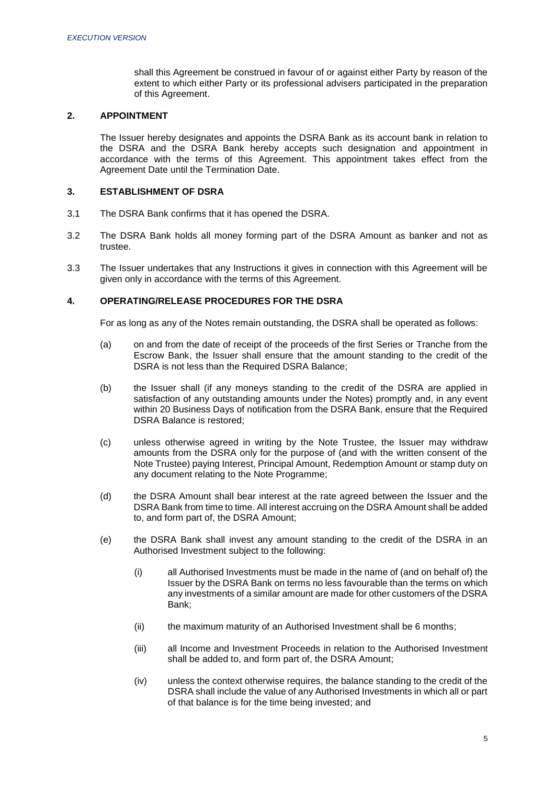shall this Agreement be construed in favour of or against either Party by reason of the extent to which either Party or its professional advisers participated in the preparation of this Agreement.

#### <span id="page-5-0"></span>**2. APPOINTMENT**

The Issuer hereby designates and appoints the DSRA Bank as its account bank in relation to the DSRA and the DSRA Bank hereby accepts such designation and appointment in accordance with the terms of this Agreement. This appointment takes effect from the Agreement Date until the Termination Date.

#### <span id="page-5-1"></span>**3. ESTABLISHMENT OF DSRA**

- 3.1 The DSRA Bank confirms that it has opened the DSRA.
- 3.2 The DSRA Bank holds all money forming part of the DSRA Amount as banker and not as trustee.
- 3.3 The Issuer undertakes that any Instructions it gives in connection with this Agreement will be given only in accordance with the terms of this Agreement.

#### <span id="page-5-2"></span>**4. OPERATING/RELEASE PROCEDURES FOR THE DSRA**

For as long as any of the Notes remain outstanding, the DSRA shall be operated as follows:

- (a) on and from the date of receipt of the proceeds of the first Series or Tranche from the Escrow Bank, the Issuer shall ensure that the amount standing to the credit of the DSRA is not less than the Required DSRA Balance;
- (b) the Issuer shall (if any moneys standing to the credit of the DSRA are applied in satisfaction of any outstanding amounts under the Notes) promptly and, in any event within 20 Business Days of notification from the DSRA Bank, ensure that the Required DSRA Balance is restored;
- (c) unless otherwise agreed in writing by the Note Trustee, the Issuer may withdraw amounts from the DSRA only for the purpose of (and with the written consent of the Note Trustee) paying Interest, Principal Amount, Redemption Amount or stamp duty on any document relating to the Note Programme;
- (d) the DSRA Amount shall bear interest at the rate agreed between the Issuer and the DSRA Bank from time to time. All interest accruing on the DSRA Amount shall be added to, and form part of, the DSRA Amount;
- (e) the DSRA Bank shall invest any amount standing to the credit of the DSRA in an Authorised Investment subject to the following:
	- (i) all Authorised Investments must be made in the name of (and on behalf of) the Issuer by the DSRA Bank on terms no less favourable than the terms on which any investments of a similar amount are made for other customers of the DSRA Bank;
	- (ii) the maximum maturity of an Authorised Investment shall be 6 months;
	- (iii) all Income and Investment Proceeds in relation to the Authorised Investment shall be added to, and form part of, the DSRA Amount;
	- (iv) unless the context otherwise requires, the balance standing to the credit of the DSRA shall include the value of any Authorised Investments in which all or part of that balance is for the time being invested; and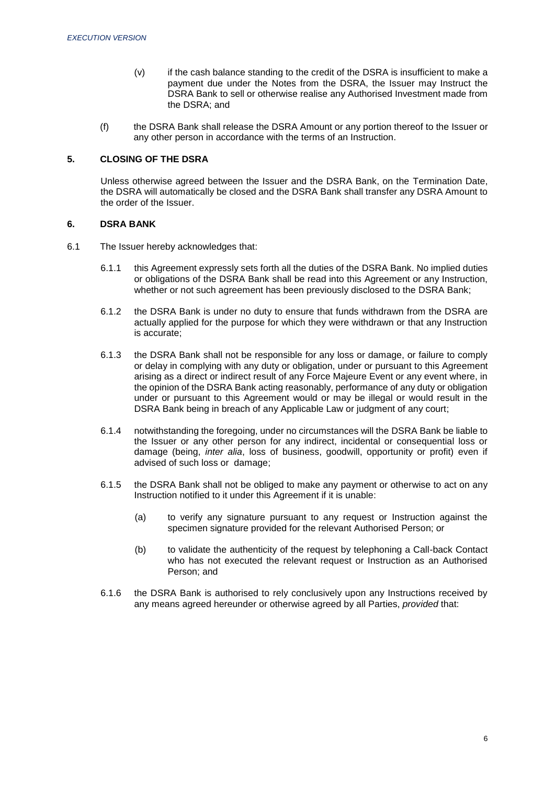- (v) if the cash balance standing to the credit of the DSRA is insufficient to make a payment due under the Notes from the DSRA, the Issuer may Instruct the DSRA Bank to sell or otherwise realise any Authorised Investment made from the DSRA; and
- (f) the DSRA Bank shall release the DSRA Amount or any portion thereof to the Issuer or any other person in accordance with the terms of an Instruction.

## <span id="page-6-0"></span>**5. CLOSING OF THE DSRA**

Unless otherwise agreed between the Issuer and the DSRA Bank, on the Termination Date, the DSRA will automatically be closed and the DSRA Bank shall transfer any DSRA Amount to the order of the Issuer.

#### <span id="page-6-1"></span>**6. DSRA BANK**

- 6.1 The Issuer hereby acknowledges that:
	- 6.1.1 this Agreement expressly sets forth all the duties of the DSRA Bank. No implied duties or obligations of the DSRA Bank shall be read into this Agreement or any Instruction, whether or not such agreement has been previously disclosed to the DSRA Bank;
	- 6.1.2 the DSRA Bank is under no duty to ensure that funds withdrawn from the DSRA are actually applied for the purpose for which they were withdrawn or that any Instruction is accurate;
	- 6.1.3 the DSRA Bank shall not be responsible for any loss or damage, or failure to comply or delay in complying with any duty or obligation, under or pursuant to this Agreement arising as a direct or indirect result of any Force Majeure Event or any event where, in the opinion of the DSRA Bank acting reasonably, performance of any duty or obligation under or pursuant to this Agreement would or may be illegal or would result in the DSRA Bank being in breach of any Applicable Law or judgment of any court;
	- 6.1.4 notwithstanding the foregoing, under no circumstances will the DSRA Bank be liable to the Issuer or any other person for any indirect, incidental or consequential loss or damage (being, *inter alia*, loss of business, goodwill, opportunity or profit) even if advised of such loss or damage;
	- 6.1.5 the DSRA Bank shall not be obliged to make any payment or otherwise to act on any Instruction notified to it under this Agreement if it is unable:
		- (a) to verify any signature pursuant to any request or Instruction against the specimen signature provided for the relevant Authorised Person; or
		- (b) to validate the authenticity of the request by telephoning a Call-back Contact who has not executed the relevant request or Instruction as an Authorised Person; and
	- 6.1.6 the DSRA Bank is authorised to rely conclusively upon any Instructions received by any means agreed hereunder or otherwise agreed by all Parties, *provided* that: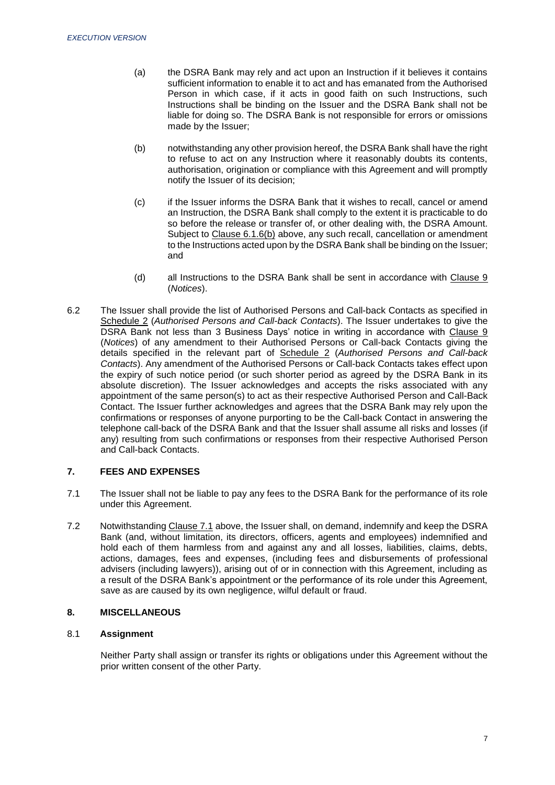- (a) the DSRA Bank may rely and act upon an Instruction if it believes it contains sufficient information to enable it to act and has emanated from the Authorised Person in which case, if it acts in good faith on such Instructions, such Instructions shall be binding on the Issuer and the DSRA Bank shall not be liable for doing so. The DSRA Bank is not responsible for errors or omissions made by the Issuer;
- (b) notwithstanding any other provision hereof, the DSRA Bank shall have the right to refuse to act on any Instruction where it reasonably doubts its contents, authorisation, origination or compliance with this Agreement and will promptly notify the Issuer of its decision;
- (c) if the Issuer informs the DSRA Bank that it wishes to recall, cancel or amend an Instruction, the DSRA Bank shall comply to the extent it is practicable to do so before the release or transfer of, or other dealing with, the DSRA Amount. Subject to Clause 6.1.6(b) above, any such recall, cancellation or amendment to the Instructions acted upon by the DSRA Bank shall be binding on the Issuer; and
- (d) all Instructions to the DSRA Bank shall be sent in accordance with Clause 9 (*Notices*).
- 6.2 The Issuer shall provide the list of Authorised Persons and Call-back Contacts as specified in Schedule 2 (*Authorised Persons and Call-back Contacts*). The Issuer undertakes to give the DSRA Bank not less than 3 Business Days' notice in writing in accordance with Clause 9 (*Notices*) of any amendment to their Authorised Persons or Call-back Contacts giving the details specified in the relevant part of Schedule 2 (*Authorised Persons and Call-back Contacts*). Any amendment of the Authorised Persons or Call-back Contacts takes effect upon the expiry of such notice period (or such shorter period as agreed by the DSRA Bank in its absolute discretion). The Issuer acknowledges and accepts the risks associated with any appointment of the same person(s) to act as their respective Authorised Person and Call-Back Contact. The Issuer further acknowledges and agrees that the DSRA Bank may rely upon the confirmations or responses of anyone purporting to be the Call-back Contact in answering the telephone call-back of the DSRA Bank and that the Issuer shall assume all risks and losses (if any) resulting from such confirmations or responses from their respective Authorised Person and Call-back Contacts.

## <span id="page-7-0"></span>**7. FEES AND EXPENSES**

- 7.1 The Issuer shall not be liable to pay any fees to the DSRA Bank for the performance of its role under this Agreement.
- 7.2 Notwithstanding Clause 7.1 above, the Issuer shall, on demand, indemnify and keep the DSRA Bank (and, without limitation, its directors, officers, agents and employees) indemnified and hold each of them harmless from and against any and all losses, liabilities, claims, debts, actions, damages, fees and expenses, (including fees and disbursements of professional advisers (including lawyers)), arising out of or in connection with this Agreement, including as a result of the DSRA Bank's appointment or the performance of its role under this Agreement, save as are caused by its own negligence, wilful default or fraud.

## **8. MISCELLANEOUS**

#### 8.1 **Assignment**

Neither Party shall assign or transfer its rights or obligations under this Agreement without the prior written consent of the other Party.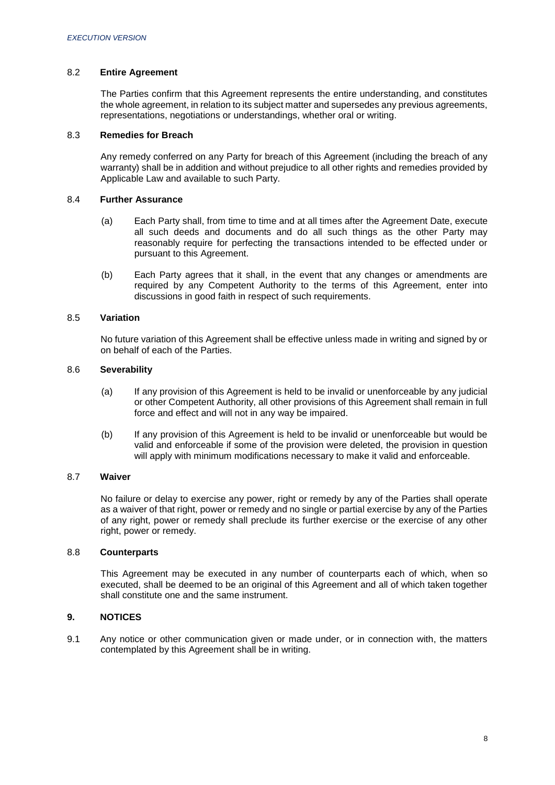## 8.2 **Entire Agreement**

The Parties confirm that this Agreement represents the entire understanding, and constitutes the whole agreement, in relation to its subject matter and supersedes any previous agreements, representations, negotiations or understandings, whether oral or writing.

#### 8.3 **Remedies for Breach**

Any remedy conferred on any Party for breach of this Agreement (including the breach of any warranty) shall be in addition and without prejudice to all other rights and remedies provided by Applicable Law and available to such Party.

#### 8.4 **Further Assurance**

- (a) Each Party shall, from time to time and at all times after the Agreement Date, execute all such deeds and documents and do all such things as the other Party may reasonably require for perfecting the transactions intended to be effected under or pursuant to this Agreement.
- (b) Each Party agrees that it shall, in the event that any changes or amendments are required by any Competent Authority to the terms of this Agreement, enter into discussions in good faith in respect of such requirements.

#### 8.5 **Variation**

No future variation of this Agreement shall be effective unless made in writing and signed by or on behalf of each of the Parties.

#### 8.6 **Severability**

- (a) If any provision of this Agreement is held to be invalid or unenforceable by any judicial or other Competent Authority, all other provisions of this Agreement shall remain in full force and effect and will not in any way be impaired.
- (b) If any provision of this Agreement is held to be invalid or unenforceable but would be valid and enforceable if some of the provision were deleted, the provision in question will apply with minimum modifications necessary to make it valid and enforceable.

#### 8.7 **Waiver**

No failure or delay to exercise any power, right or remedy by any of the Parties shall operate as a waiver of that right, power or remedy and no single or partial exercise by any of the Parties of any right, power or remedy shall preclude its further exercise or the exercise of any other right, power or remedy.

#### 8.8 **Counterparts**

This Agreement may be executed in any number of counterparts each of which, when so executed, shall be deemed to be an original of this Agreement and all of which taken together shall constitute one and the same instrument.

### <span id="page-8-0"></span>**9. NOTICES**

9.1 Any notice or other communication given or made under, or in connection with, the matters contemplated by this Agreement shall be in writing.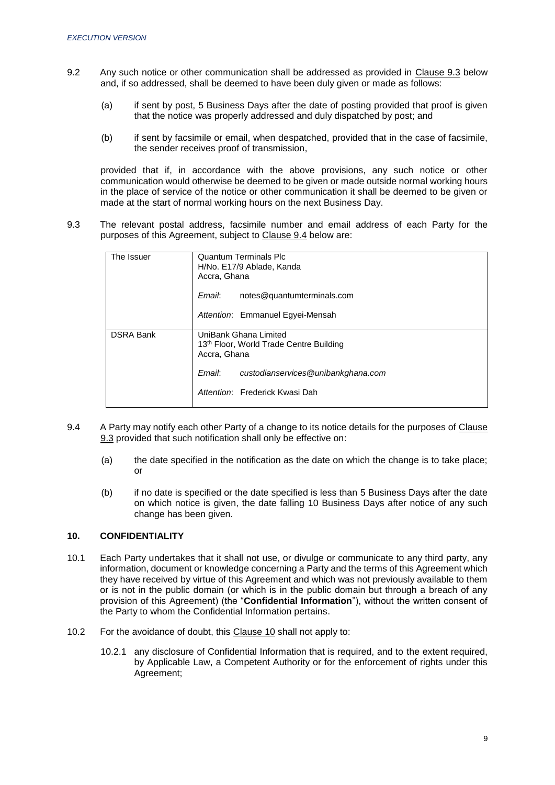- 9.2 Any such notice or other communication shall be addressed as provided in Clause 9.3 below and, if so addressed, shall be deemed to have been duly given or made as follows:
	- (a) if sent by post, 5 Business Days after the date of posting provided that proof is given that the notice was properly addressed and duly dispatched by post; and
	- (b) if sent by facsimile or email, when despatched, provided that in the case of facsimile, the sender receives proof of transmission,

provided that if, in accordance with the above provisions, any such notice or other communication would otherwise be deemed to be given or made outside normal working hours in the place of service of the notice or other communication it shall be deemed to be given or made at the start of normal working hours on the next Business Day.

9.3 The relevant postal address, facsimile number and email address of each Party for the purposes of this Agreement, subject to Clause 9.4 below are:

| The Issuer       | <b>Quantum Terminals Plc</b><br>H/No. E17/9 Ablade, Kanda<br>Accra, Ghana<br>Email:<br>notes@quantumterminals.com                                                  |  |  |
|------------------|--------------------------------------------------------------------------------------------------------------------------------------------------------------------|--|--|
|                  | Attention: Emmanuel Egyei-Mensah                                                                                                                                   |  |  |
| <b>DSRA Bank</b> | UniBank Ghana Limited<br>13th Floor, World Trade Centre Building<br>Accra, Ghana<br>Email:<br>custodianservices@unibankghana.com<br>Attention: Frederick Kwasi Dah |  |  |

- 9.4 A Party may notify each other Party of a change to its notice details for the purposes of Clause 9.3 provided that such notification shall only be effective on:
	- (a) the date specified in the notification as the date on which the change is to take place; or
	- (b) if no date is specified or the date specified is less than 5 Business Days after the date on which notice is given, the date falling 10 Business Days after notice of any such change has been given.

## <span id="page-9-0"></span>**10. CONFIDENTIALITY**

- 10.1 Each Party undertakes that it shall not use, or divulge or communicate to any third party, any information, document or knowledge concerning a Party and the terms of this Agreement which they have received by virtue of this Agreement and which was not previously available to them or is not in the public domain (or which is in the public domain but through a breach of any provision of this Agreement) (the "**Confidential Information**"), without the written consent of the Party to whom the Confidential Information pertains.
- 10.2 For the avoidance of doubt, this Clause 10 shall not apply to:
	- 10.2.1 any disclosure of Confidential Information that is required, and to the extent required, by Applicable Law, a Competent Authority or for the enforcement of rights under this Agreement;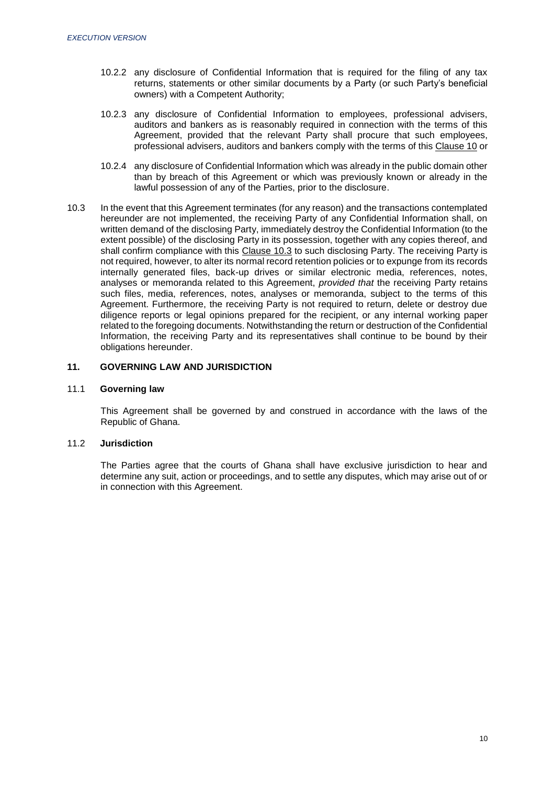- 10.2.2 any disclosure of Confidential Information that is required for the filing of any tax returns, statements or other similar documents by a Party (or such Party's beneficial owners) with a Competent Authority;
- 10.2.3 any disclosure of Confidential Information to employees, professional advisers, auditors and bankers as is reasonably required in connection with the terms of this Agreement, provided that the relevant Party shall procure that such employees, professional advisers, auditors and bankers comply with the terms of this Clause 10 or
- 10.2.4 any disclosure of Confidential Information which was already in the public domain other than by breach of this Agreement or which was previously known or already in the lawful possession of any of the Parties, prior to the disclosure.
- 10.3 In the event that this Agreement terminates (for any reason) and the transactions contemplated hereunder are not implemented, the receiving Party of any Confidential Information shall, on written demand of the disclosing Party, immediately destroy the Confidential Information (to the extent possible) of the disclosing Party in its possession, together with any copies thereof, and shall confirm compliance with this Clause 10.3 to such disclosing Party. The receiving Party is not required, however, to alter its normal record retention policies or to expunge from its records internally generated files, back-up drives or similar electronic media, references, notes, analyses or memoranda related to this Agreement, *provided that* the receiving Party retains such files, media, references, notes, analyses or memoranda, subject to the terms of this Agreement. Furthermore, the receiving Party is not required to return, delete or destroy due diligence reports or legal opinions prepared for the recipient, or any internal working paper related to the foregoing documents. Notwithstanding the return or destruction of the Confidential Information, the receiving Party and its representatives shall continue to be bound by their obligations hereunder.

### <span id="page-10-0"></span>**11. GOVERNING LAW AND JURISDICTION**

#### 11.1 **Governing law**

This Agreement shall be governed by and construed in accordance with the laws of the Republic of Ghana.

### 11.2 **Jurisdiction**

The Parties agree that the courts of Ghana shall have exclusive jurisdiction to hear and determine any suit, action or proceedings, and to settle any disputes, which may arise out of or in connection with this Agreement.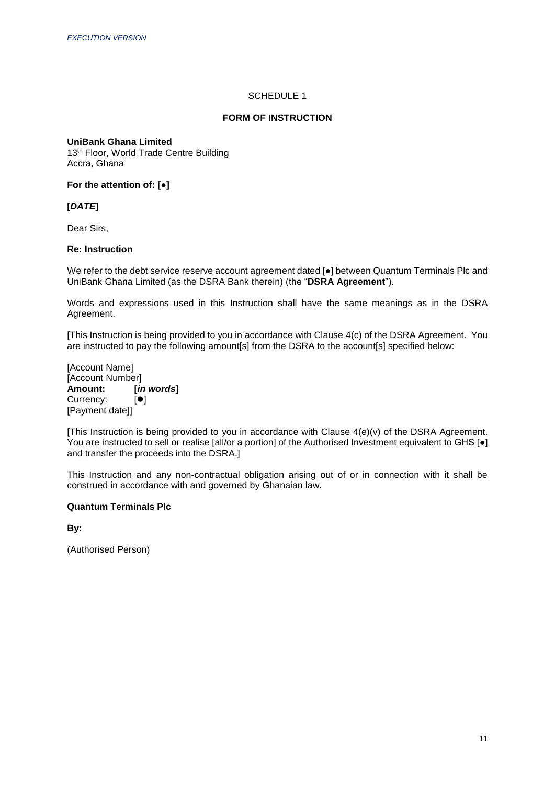## SCHEDULE 1

### **FORM OF INSTRUCTION**

#### <span id="page-11-1"></span><span id="page-11-0"></span>**UniBank Ghana Limited**

13<sup>th</sup> Floor, World Trade Centre Building Accra, Ghana

**For the attention of: [●]**

**[***DATE***]**

Dear Sirs,

#### **Re: Instruction**

We refer to the debt service reserve account agreement dated [●] between Quantum Terminals Plc and UniBank Ghana Limited (as the DSRA Bank therein) (the "**DSRA Agreement**").

Words and expressions used in this Instruction shall have the same meanings as in the DSRA Agreement.

[This Instruction is being provided to you in accordance with Clause 4(c) of the DSRA Agreement. You are instructed to pay the following amount[s] from the DSRA to the account[s] specified below:

[Account Name] [Account Number]<br>**Amount:** [in **Amount: [***in words***]** Currency: [Payment date]]

[This Instruction is being provided to you in accordance with Clause 4(e)(v) of the DSRA Agreement. You are instructed to sell or realise [all/or a portion] of the Authorised Investment equivalent to GHS [ $\bullet$ ] and transfer the proceeds into the DSRA.]

This Instruction and any non-contractual obligation arising out of or in connection with it shall be construed in accordance with and governed by Ghanaian law.

# **Quantum Terminals Plc**

**By:**

(Authorised Person)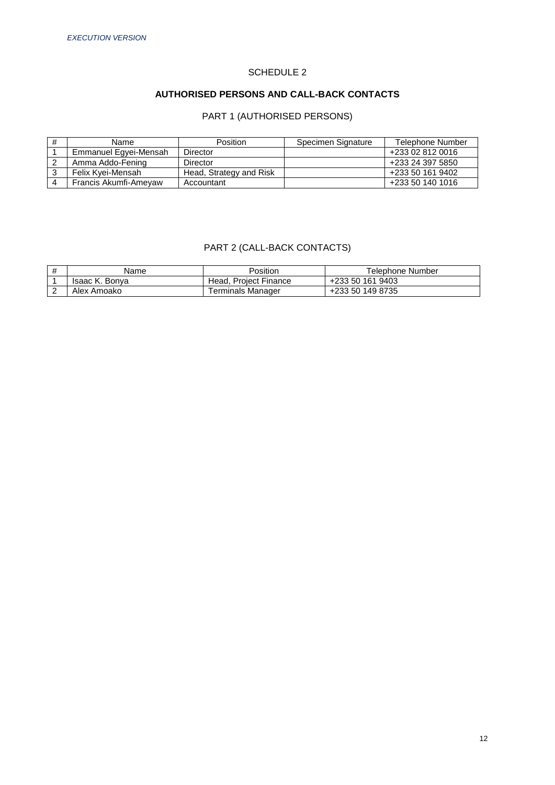# SCHEDULE 2

# **AUTHORISED PERSONS AND CALL-BACK CONTACTS**

# PART 1 (AUTHORISED PERSONS)

<span id="page-12-1"></span><span id="page-12-0"></span>

| Name                  | <b>Position</b>         | Specimen Signature | Telephone Number |
|-----------------------|-------------------------|--------------------|------------------|
| Emmanuel Egyei-Mensah | Director                |                    | +233 02 812 0016 |
| Amma Addo-Fening      | Director                |                    | +233 24 397 5850 |
| Felix Kvei-Mensah     | Head, Strategy and Risk |                    | +233 50 161 9402 |
| Francis Akumfi-Ameyaw | Accountant              |                    | +233 50 140 1016 |

# PART 2 (CALL-BACK CONTACTS)

| Name           | Position              | Telephone Number |
|----------------|-----------------------|------------------|
| Isaac K. Bonva | Head. Project Finance | +233 50 161 9403 |
| Alex Amoako    | Terminals Manager     | +233 50 149 8735 |